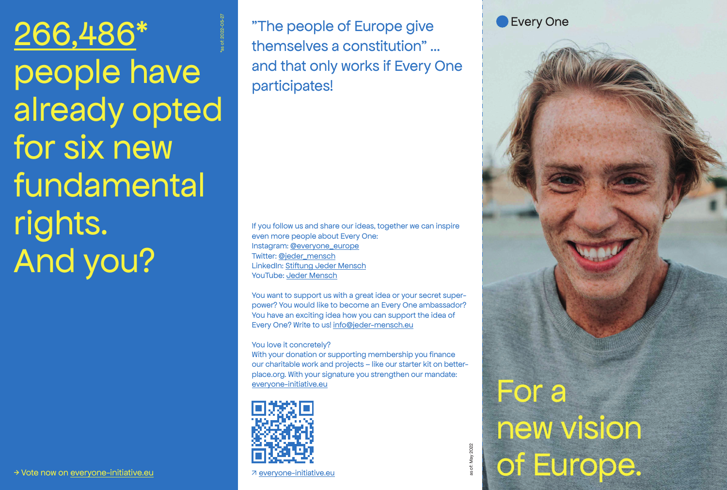266,486\* people have already opted for six new fundamental rights. And you? \*as of: 2022-05-27

"The people of Europe give themselves a constitution" ... and that only works if Every One participates!

If you follow us and share our ideas, together we can inspire even more people about Every One: Instagram: @everyone\_europe Twitter: @jeder\_mensch LinkedIn: Stiftung Jeder Mensch YouTube: Jeder Mensch

You want to support us with a great idea or your secret superpower? You would like to become an Every One ambassador? You have an exciting idea how you can support the idea of Every One? Write to us! info@jeder-mensch.eu

#### You love it concretely?

With your donation or supporting membership you finance our charitable work and projects – like our starter kit on betterplace.org. With your signature you strengthen our mandate: everyone-initiative.eu



↗ everyone-initiative.eu

For a new vision of Europe.

Every One

as of: May 2022

of: May 2022